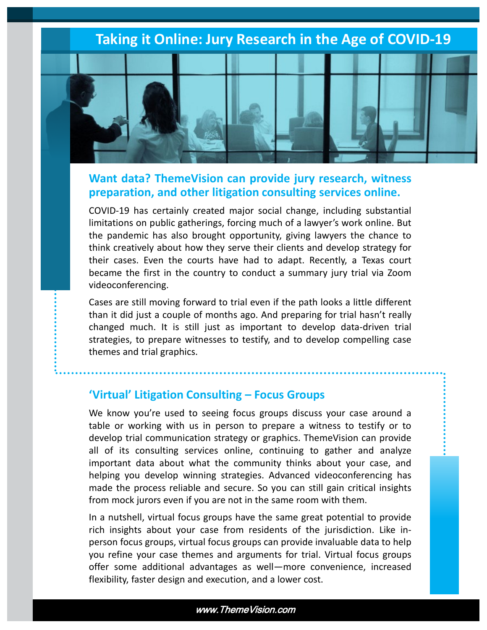### **Taking it Online: Jury Research in the Age of COVID-19**



### **Want data? ThemeVision can provide jury research, witness preparation, and other litigation consulting services online.**

COVID-19 has certainly created major social change, including substantial limitations on public gatherings, forcing much of a lawyer's work online. But the pandemic has also brought opportunity, giving lawyers the chance to think creatively about how they serve their clients and develop strategy for their cases. Even the courts have had to adapt. Recently, a Texas court became the first in the country to conduct a summary jury trial via Zoom videoconferencing.

Cases are still moving forward to trial even if the path looks a little different than it did just a couple of months ago. And preparing for trial hasn't really changed much. It is still just as important to develop data-driven trial strategies, to prepare witnesses to testify, and to develop compelling case themes and trial graphics.

### **'Virtual' Litigation Consulting – Focus Groups**

We know you're used to seeing focus groups discuss your case around a table or working with us in person to prepare a witness to testify or to develop trial communication strategy or graphics. ThemeVision can provide all of its consulting services online, continuing to gather and analyze important data about what the community thinks about your case, and helping you develop winning strategies. Advanced videoconferencing has made the process reliable and secure. So you can still gain critical insights from mock jurors even if you are not in the same room with them.

In a nutshell, virtual focus groups have the same great potential to provide rich insights about your case from residents of the jurisdiction. Like inperson focus groups, virtual focus groups can provide invaluable data to help you refine your case themes and arguments for trial. Virtual focus groups offer some additional advantages as well—more convenience, increased flexibility, faster design and execution, and a lower cost.